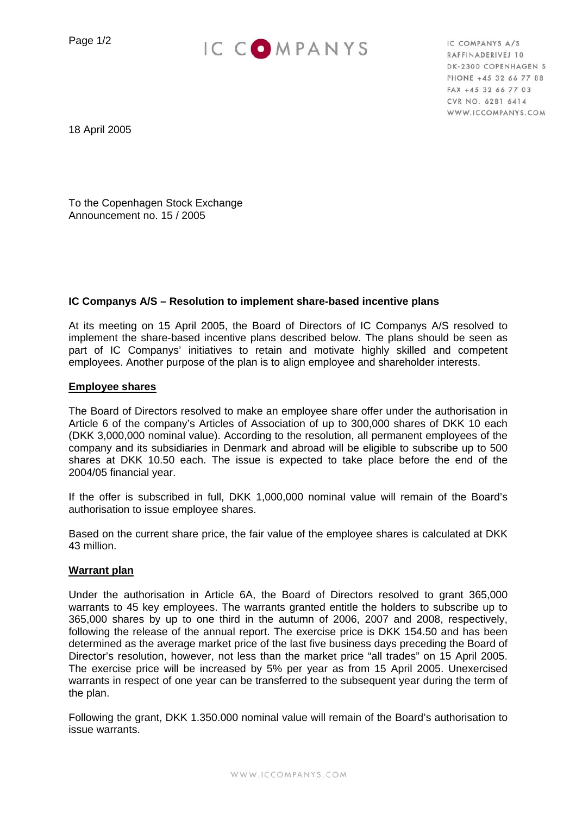Page 1/2



IC COMPANYS A/S RAFFINADERIVEJ 10 DK-2300 COPENHAGEN S PHONE +45 32 66 77 88 FAX +45 32 66 77 03 CVR NO. 6281 6414 WWW.ICCOMPANYS.COM

18 April 2005

To the Copenhagen Stock Exchange Announcement no. 15 / 2005

## **IC Companys A/S – Resolution to implement share-based incentive plans**

At its meeting on 15 April 2005, the Board of Directors of IC Companys A/S resolved to implement the share-based incentive plans described below. The plans should be seen as part of IC Companys' initiatives to retain and motivate highly skilled and competent employees. Another purpose of the plan is to align employee and shareholder interests.

### **Employee shares**

The Board of Directors resolved to make an employee share offer under the authorisation in Article 6 of the company's Articles of Association of up to 300,000 shares of DKK 10 each (DKK 3,000,000 nominal value). According to the resolution, all permanent employees of the company and its subsidiaries in Denmark and abroad will be eligible to subscribe up to 500 shares at DKK 10.50 each. The issue is expected to take place before the end of the 2004/05 financial year.

If the offer is subscribed in full, DKK 1,000,000 nominal value will remain of the Board's authorisation to issue employee shares.

Based on the current share price, the fair value of the employee shares is calculated at DKK 43 million.

# **Warrant plan**

Under the authorisation in Article 6A, the Board of Directors resolved to grant 365,000 warrants to 45 key employees. The warrants granted entitle the holders to subscribe up to 365,000 shares by up to one third in the autumn of 2006, 2007 and 2008, respectively, following the release of the annual report. The exercise price is DKK 154.50 and has been determined as the average market price of the last five business days preceding the Board of Director's resolution, however, not less than the market price "all trades" on 15 April 2005. The exercise price will be increased by 5% per year as from 15 April 2005. Unexercised warrants in respect of one year can be transferred to the subsequent year during the term of the plan.

Following the grant, DKK 1.350.000 nominal value will remain of the Board's authorisation to issue warrants.